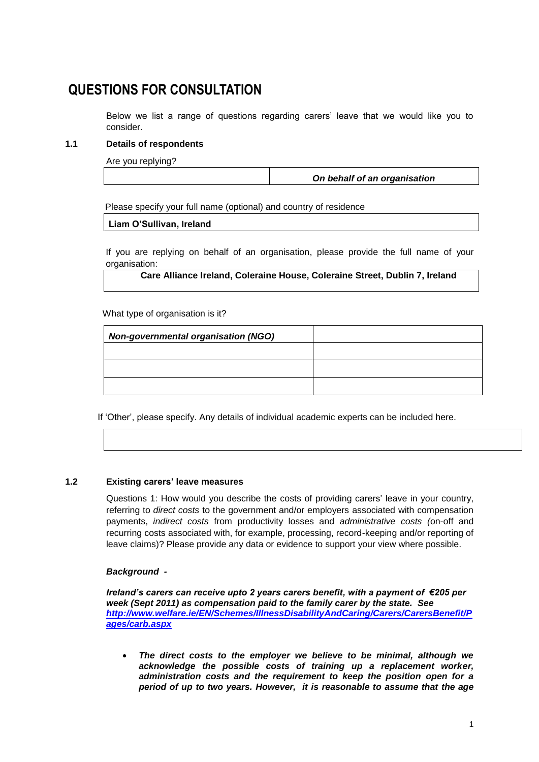# **QUESTIONS FOR CONSULTATION**

Below we list a range of questions regarding carers' leave that we would like you to consider.

# **1.1 Details of respondents**

Are you replying?

*On behalf of an organisation*

Please specify your full name (optional) and country of residence

**Liam O'Sullivan, Ireland**

If you are replying on behalf of an organisation, please provide the full name of your organisation:

**Care Alliance Ireland, Coleraine House, Coleraine Street, Dublin 7, Ireland**

What type of organisation is it?

| <b>Non-governmental organisation (NGO)</b> |  |
|--------------------------------------------|--|
|                                            |  |
|                                            |  |
|                                            |  |

If 'Other', please specify. Any details of individual academic experts can be included here.

# **1.2 Existing carers' leave measures**

Questions 1: How would you describe the costs of providing carers' leave in your country, referring to *direct costs* to the government and/or employers associated with compensation payments, *indirect costs* from productivity losses and *administrative costs (*on-off and recurring costs associated with, for example, processing, record-keeping and/or reporting of leave claims)? Please provide any data or evidence to support your view where possible.

#### *Background -*

*Ireland's carers can receive upto 2 years carers benefit, with a payment of €205 per week (Sept 2011) as compensation paid to the family carer by the state. See [http://www.welfare.ie/EN/Schemes/IllnessDisabilityAndCaring/Carers/CarersBenefit/P](http://www.welfare.ie/EN/Schemes/IllnessDisabilityAndCaring/Carers/CarersBenefit/Pages/carb.aspx) [ages/carb.aspx](http://www.welfare.ie/EN/Schemes/IllnessDisabilityAndCaring/Carers/CarersBenefit/Pages/carb.aspx)*

 *The direct costs to the employer we believe to be minimal, although we acknowledge the possible costs of training up a replacement worker, administration costs and the requirement to keep the position open for a period of up to two years. However, it is reasonable to assume that the age*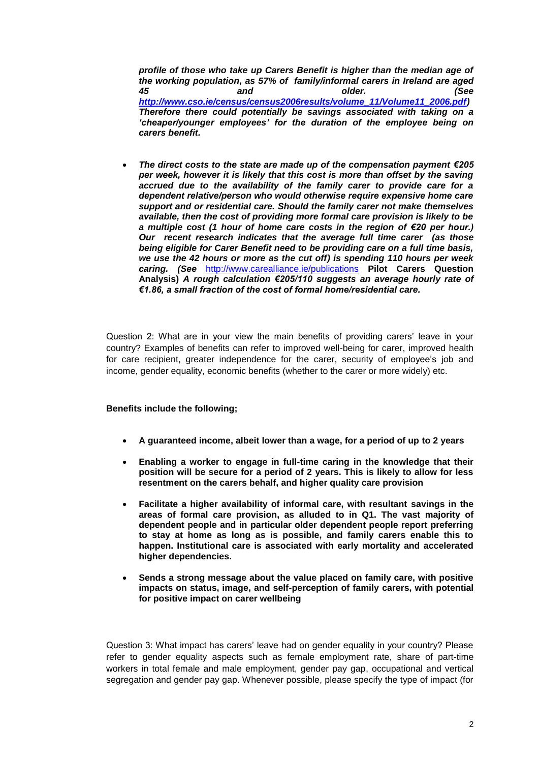*profile of those who take up Carers Benefit is higher than the median age of the working population, as 57% of family/informal carers in Ireland are aged 45 and older. (See [http://www.cso.ie/census/census2006results/volume\\_11/Volume11\\_2006.pdf\)](http://www.cso.ie/census/census2006results/volume_11/Volume11_2006.pdf) Therefore there could potentially be savings associated with taking on a 'cheaper/younger employees' for the duration of the employee being on carers benefit.*

 *The direct costs to the state are made up of the compensation payment €205 per week, however it is likely that this cost is more than offset by the saving accrued due to the availability of the family carer to provide care for a dependent relative/person who would otherwise require expensive home care support and or residential care. Should the family carer not make themselves available, then the cost of providing more formal care provision is likely to be a multiple cost (1 hour of home care costs in the region of €20 per hour.) Our recent research indicates that the average full time carer (as those being eligible for Carer Benefit need to be providing care on a full time basis, we use the 42 hours or more as the cut off) is spending 110 hours per week caring. (See* <http://www.carealliance.ie/publications> **Pilot Carers Question Analysis)** *A rough calculation €205/110 suggests an average hourly rate of €1.86, a small fraction of the cost of formal home/residential care.*

Question 2: What are in your view the main benefits of providing carers' leave in your country? Examples of benefits can refer to improved well-being for carer, improved health for care recipient, greater independence for the carer, security of employee's job and income, gender equality, economic benefits (whether to the carer or more widely) etc.

#### **Benefits include the following;**

- **A guaranteed income, albeit lower than a wage, for a period of up to 2 years**
- **Enabling a worker to engage in full-time caring in the knowledge that their position will be secure for a period of 2 years. This is likely to allow for less resentment on the carers behalf, and higher quality care provision**
- **Facilitate a higher availability of informal care, with resultant savings in the areas of formal care provision, as alluded to in Q1. The vast majority of dependent people and in particular older dependent people report preferring to stay at home as long as is possible, and family carers enable this to happen. Institutional care is associated with early mortality and accelerated higher dependencies.**
- **Sends a strong message about the value placed on family care, with positive impacts on status, image, and self-perception of family carers, with potential for positive impact on carer wellbeing**

Question 3: What impact has carers' leave had on gender equality in your country? Please refer to gender equality aspects such as female employment rate, share of part-time workers in total female and male employment, gender pay gap, occupational and vertical segregation and gender pay gap. Whenever possible, please specify the type of impact (for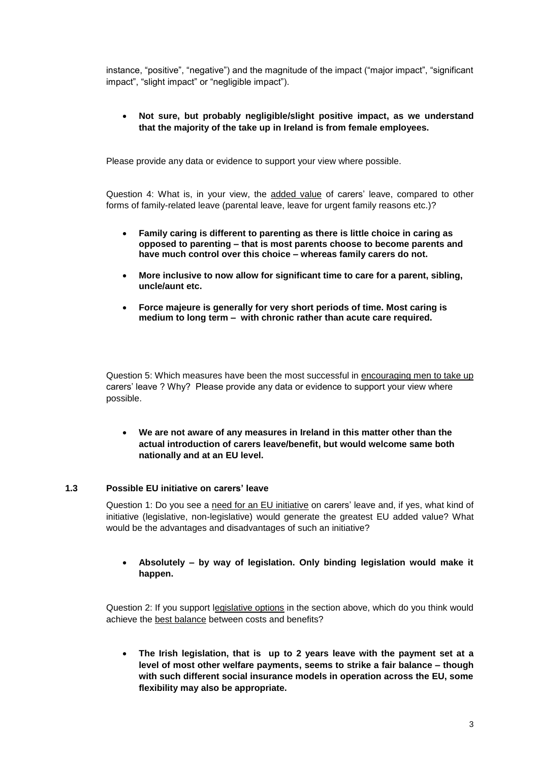instance, "positive", "negative") and the magnitude of the impact ("major impact", "significant impact", "slight impact" or "negligible impact").

# **Not sure, but probably negligible/slight positive impact, as we understand that the majority of the take up in Ireland is from female employees.**

Please provide any data or evidence to support your view where possible.

Question 4: What is, in your view, the added value of carers' leave, compared to other forms of family-related leave (parental leave, leave for urgent family reasons etc.)?

- **Family caring is different to parenting as there is little choice in caring as opposed to parenting – that is most parents choose to become parents and have much control over this choice – whereas family carers do not.**
- **More inclusive to now allow for significant time to care for a parent, sibling, uncle/aunt etc.**
- **Force majeure is generally for very short periods of time. Most caring is medium to long term – with chronic rather than acute care required.**

Question 5: Which measures have been the most successful in encouraging men to take up carers' leave ? Why? Please provide any data or evidence to support your view where possible.

 **We are not aware of any measures in Ireland in this matter other than the actual introduction of carers leave/benefit, but would welcome same both nationally and at an EU level.**

#### **1.3 Possible EU initiative on carers' leave**

Question 1: Do you see a need for an EU initiative on carers' leave and, if yes, what kind of initiative (legislative, non-legislative) would generate the greatest EU added value? What would be the advantages and disadvantages of such an initiative?

#### **Absolutely – by way of legislation. Only binding legislation would make it happen.**

Question 2: If you support legislative options in the section above, which do you think would achieve the best balance between costs and benefits?

 **The Irish legislation, that is up to 2 years leave with the payment set at a level of most other welfare payments, seems to strike a fair balance – though with such different social insurance models in operation across the EU, some flexibility may also be appropriate.**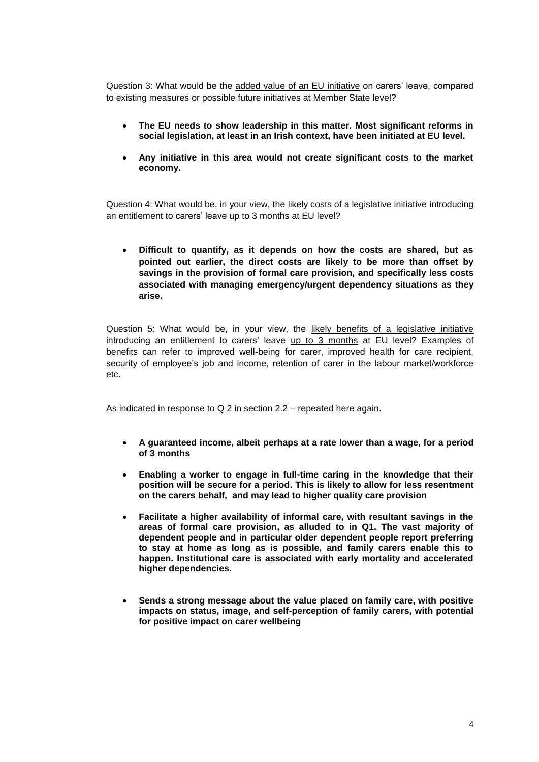Question 3: What would be the added value of an EU initiative on carers' leave, compared to existing measures or possible future initiatives at Member State level?

- **The EU needs to show leadership in this matter. Most significant reforms in social legislation, at least in an Irish context, have been initiated at EU level.**
- **Any initiative in this area would not create significant costs to the market economy.**

Question 4: What would be, in your view, the likely costs of a legislative initiative introducing an entitlement to carers' leave up to 3 months at EU level?

 **Difficult to quantify, as it depends on how the costs are shared, but as pointed out earlier, the direct costs are likely to be more than offset by savings in the provision of formal care provision, and specifically less costs associated with managing emergency/urgent dependency situations as they arise.**

Question 5: What would be, in your view, the likely benefits of a legislative initiative introducing an entitlement to carers' leave up to 3 months at EU level? Examples of benefits can refer to improved well-being for carer, improved health for care recipient, security of employee's job and income, retention of carer in the labour market/workforce etc.

As indicated in response to Q 2 in section 2.2 – repeated here again.

- **A guaranteed income, albeit perhaps at a rate lower than a wage, for a period of 3 months**
- **Enabling a worker to engage in full-time caring in the knowledge that their position will be secure for a period. This is likely to allow for less resentment on the carers behalf, and may lead to higher quality care provision**
- **Facilitate a higher availability of informal care, with resultant savings in the areas of formal care provision, as alluded to in Q1. The vast majority of dependent people and in particular older dependent people report preferring to stay at home as long as is possible, and family carers enable this to happen. Institutional care is associated with early mortality and accelerated higher dependencies.**
- **Sends a strong message about the value placed on family care, with positive impacts on status, image, and self-perception of family carers, with potential for positive impact on carer wellbeing**